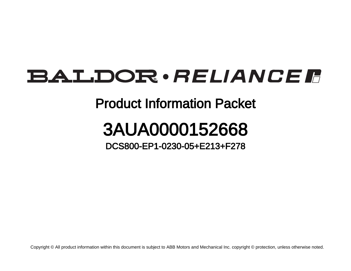## **BALDOR** · RELIANCE F

## Product Information Packet

## 3AUA0000152668

DCS800-EP1-0230-05+E213+F278

Copyright © All product information within this document is subject to ABB Motors and Mechanical Inc. copyright © protection, unless otherwise noted.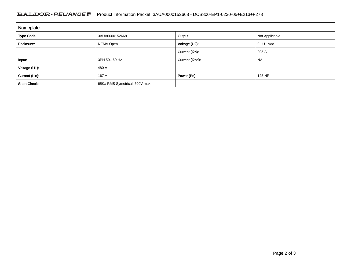## BALDOR · RELIANCE F Product Information Packet: 3AUA0000152668 - DCS800-EP1-0230-05+E213+F278

| Nameplate             |                               |                 |                |
|-----------------------|-------------------------------|-----------------|----------------|
| <b>Type Code:</b>     | 3AUA0000152668                | Output:         | Not Applicable |
| Enclosure:            | NEMA Open                     | Voltage (U2):   | $0U1$ Vac      |
|                       |                               | Current (I2n):  | 205 A          |
| Input:                | 3PH 5060 Hz                   | Current (I2hd): | <b>NA</b>      |
| Voltage (U1):         | 480 V                         |                 |                |
| Current (I1n):        | 167 A                         | Power (Pn):     | 125 HP         |
| <b>Short Circuit:</b> | 65Ka RMS Symetrical, 500V max |                 |                |